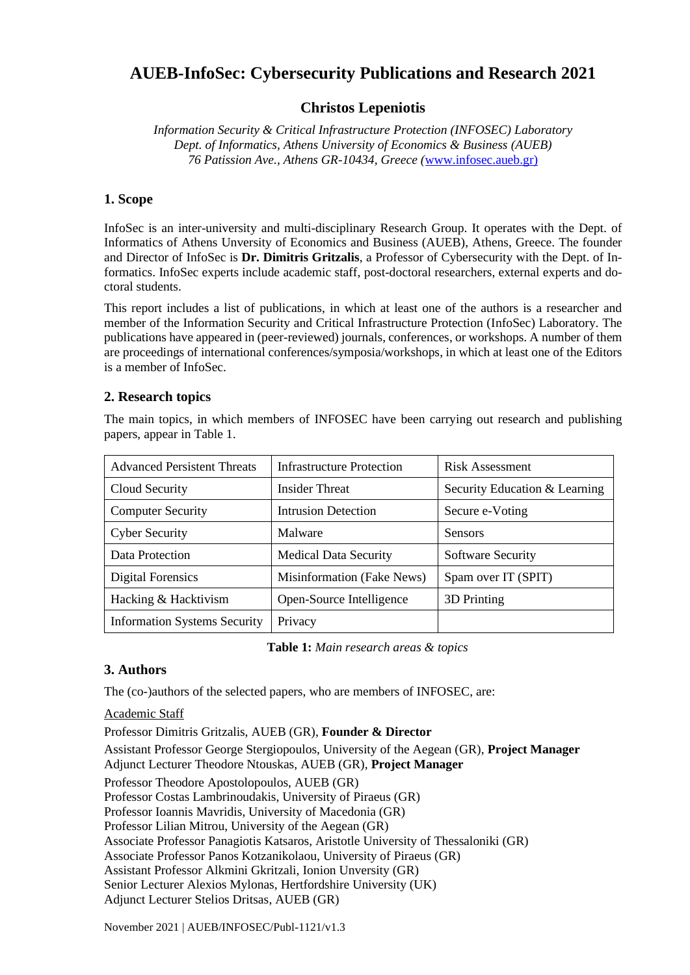# **AUEB-InfoSec: Cybersecurity Publications and Research 2021**

## **Christos Lepeniotis**

*Information Security & Critical Infrastructure Protection (INFOSEC) Laboratory Dept. of Informatics, Athens University of Economics & Business (AUEB) 76 Patission Ave., Athens GR-10434, Greece (*[www.infosec.aueb.gr\)](http://www.infosec.aueb.gr/)

#### **1. Scope**

InfoSec is an inter-university and multi-disciplinary Research Group. It operates with the Dept. of Informatics of Athens Unversity of Economics and Business (AUEB), Athens, Greece. The founder and Director of InfoSec is **Dr. Dimitris Gritzalis**, a Professor of Cybersecurity with the Dept. of Informatics. InfoSec experts include academic staff, post-doctoral researchers, external experts and doctoral students.

This report includes a list of publications, in which at least one of the authors is a researcher and member of the Information Security and Critical Infrastructure Protection (InfoSec) Laboratory. The publications have appeared in (peer-reviewed) journals, conferences, or workshops. A number of them are proceedings of international conferences/symposia/workshops, in which at least one of the Editors is a member of InfoSec.

#### **2. Research topics**

The main topics, in which members of INFOSEC have been carrying out research and publishing papers, appear in Table 1.

| <b>Advanced Persistent Threats</b>  | Infrastructure Protection    | Risk Assessment               |
|-------------------------------------|------------------------------|-------------------------------|
| Cloud Security                      | Insider Threat               | Security Education & Learning |
| <b>Computer Security</b>            | <b>Intrusion Detection</b>   | Secure e-Voting               |
| <b>Cyber Security</b>               | Malware                      | <b>Sensors</b>                |
| Data Protection                     | <b>Medical Data Security</b> | <b>Software Security</b>      |
| Digital Forensics                   | Misinformation (Fake News)   | Spam over IT (SPIT)           |
| Hacking & Hacktivism                | Open-Source Intelligence     | 3D Printing                   |
| <b>Information Systems Security</b> | Privacy                      |                               |

**Table 1:** *Main research areas & topics*

## **3. Authors**

The (co-)authors of the selected papers, who are members of INFOSEC, are:

#### Academic Staff

Professor Dimitris Gritzalis, AUEB (GR), **Founder & Director**

Assistant Professor George Stergiopoulos, University of the Aegean (GR), **Project Manager** Adjunct Lecturer Theodore Ntouskas, AUEB (GR), **Project Manager**

Professor Theodore Apostolopoulos, AUEB (GR)

Professor Costas Lambrinoudakis, University of Piraeus (GR)

Professor Ioannis Mavridis, University of Macedonia (GR)

Professor Lilian Mitrou, University of the Aegean (GR)

Associate Professor Panagiotis Katsaros, Aristotle University of Thessaloniki (GR)

Associate Professor Panos Kotzanikolaou, University of Piraeus (GR)

Assistant Professor Alkmini Gkritzali, Ionion Unversity (GR)

Senior Lecturer Alexios Mylonas, Hertfordshire University (UK)

Adjunct Lecturer Stelios Dritsas, AUEB (GR)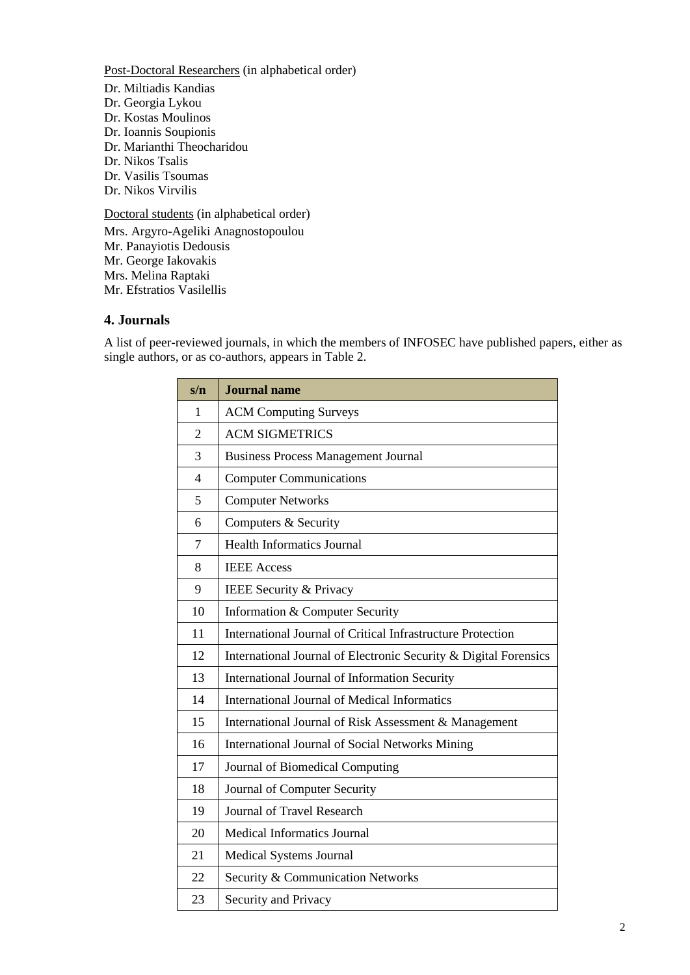Post-Doctoral Researchers (in alphabetical order) Dr. Miltiadis Kandias Dr. Georgia Lykou Dr. Kostas Moulinos Dr. Ioannis Soupionis Dr. Marianthi Theocharidou Dr. Nikos Tsalis Dr. Vasilis Tsoumas Dr. Nikos Virvilis

Doctoral students (in alphabetical order)

Mrs. Argyro-Ageliki Anagnostopoulou Mr. Panayiotis Dedousis Mr. George Iakovakis Mrs. Melina Raptaki Mr. Efstratios Vasilellis

## **4. Journals**

A list of peer-reviewed journals, in which the members of INFOSEC have published papers, either as single authors, or as co-authors, appears in Table 2.

| s/n                      | <b>Journal</b> name                                              |
|--------------------------|------------------------------------------------------------------|
| $\mathbf{1}$             | <b>ACM Computing Surveys</b>                                     |
| $\overline{2}$           | <b>ACM SIGMETRICS</b>                                            |
| 3                        | <b>Business Process Management Journal</b>                       |
| $\overline{\mathcal{A}}$ | <b>Computer Communications</b>                                   |
| 5                        | <b>Computer Networks</b>                                         |
| 6                        | Computers & Security                                             |
| $\tau$                   | <b>Health Informatics Journal</b>                                |
| 8                        | <b>IEEE</b> Access                                               |
| 9                        | IEEE Security & Privacy                                          |
| 10                       | Information & Computer Security                                  |
| 11                       | International Journal of Critical Infrastructure Protection      |
| 12                       | International Journal of Electronic Security & Digital Forensics |
| 13                       | International Journal of Information Security                    |
| 14                       | <b>International Journal of Medical Informatics</b>              |
| 15                       | International Journal of Risk Assessment & Management            |
| 16                       | <b>International Journal of Social Networks Mining</b>           |
| 17                       | Journal of Biomedical Computing                                  |
| 18                       | Journal of Computer Security                                     |
| 19                       | <b>Journal of Travel Research</b>                                |
| 20                       | <b>Medical Informatics Journal</b>                               |
| 21                       | Medical Systems Journal                                          |
| 22                       | Security & Communication Networks                                |
| 23                       | Security and Privacy                                             |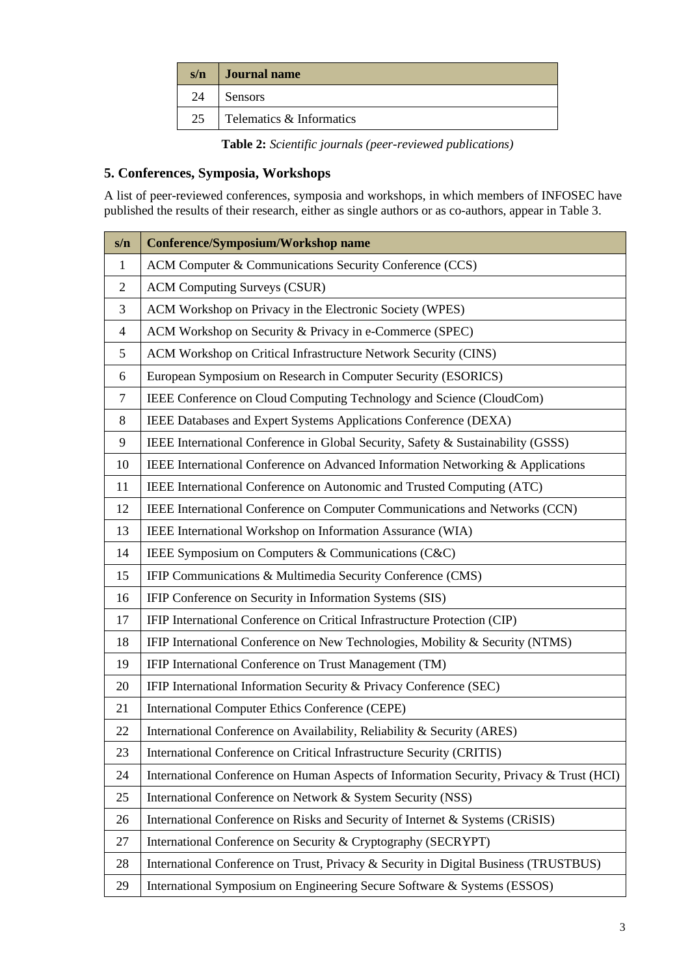| s/n | <b>Journal name</b>      |
|-----|--------------------------|
| 24  | <b>Sensors</b>           |
| 25  | Telematics & Informatics |

**Table 2:** *Scientific journals (peer-reviewed publications)*

## **5. Conferences, Symposia, Workshops**

A list of peer-reviewed conferences, symposia and workshops, in which members of INFOSEC have published the results of their research, either as single authors or as co-authors, appear in Table 3.

| s/n            | <b>Conference/Symposium/Workshop name</b>                                                |
|----------------|------------------------------------------------------------------------------------------|
| $\mathbf{1}$   | ACM Computer & Communications Security Conference (CCS)                                  |
| $\overline{2}$ | <b>ACM Computing Surveys (CSUR)</b>                                                      |
| 3              | ACM Workshop on Privacy in the Electronic Society (WPES)                                 |
| 4              | ACM Workshop on Security & Privacy in e-Commerce (SPEC)                                  |
| 5              | ACM Workshop on Critical Infrastructure Network Security (CINS)                          |
| 6              | European Symposium on Research in Computer Security (ESORICS)                            |
| $\tau$         | IEEE Conference on Cloud Computing Technology and Science (CloudCom)                     |
| 8              | IEEE Databases and Expert Systems Applications Conference (DEXA)                         |
| 9              | IEEE International Conference in Global Security, Safety & Sustainability (GSSS)         |
| 10             | IEEE International Conference on Advanced Information Networking & Applications          |
| 11             | IEEE International Conference on Autonomic and Trusted Computing (ATC)                   |
| 12             | IEEE International Conference on Computer Communications and Networks (CCN)              |
| 13             | IEEE International Workshop on Information Assurance (WIA)                               |
| 14             | IEEE Symposium on Computers & Communications (C&C)                                       |
| 15             | IFIP Communications & Multimedia Security Conference (CMS)                               |
| 16             | IFIP Conference on Security in Information Systems (SIS)                                 |
| 17             | IFIP International Conference on Critical Infrastructure Protection (CIP)                |
| 18             | IFIP International Conference on New Technologies, Mobility & Security (NTMS)            |
| 19             | IFIP International Conference on Trust Management (TM)                                   |
| 20             | IFIP International Information Security & Privacy Conference (SEC)                       |
| 21             | <b>International Computer Ethics Conference (CEPE)</b>                                   |
| 22             | International Conference on Availability, Reliability & Security (ARES)                  |
| 23             | International Conference on Critical Infrastructure Security (CRITIS)                    |
| 24             | International Conference on Human Aspects of Information Security, Privacy & Trust (HCI) |
| 25             | International Conference on Network & System Security (NSS)                              |
| 26             | International Conference on Risks and Security of Internet & Systems (CRiSIS)            |
| 27             | International Conference on Security & Cryptography (SECRYPT)                            |
| 28             | International Conference on Trust, Privacy & Security in Digital Business (TRUSTBUS)     |
| 29             | International Symposium on Engineering Secure Software & Systems (ESSOS)                 |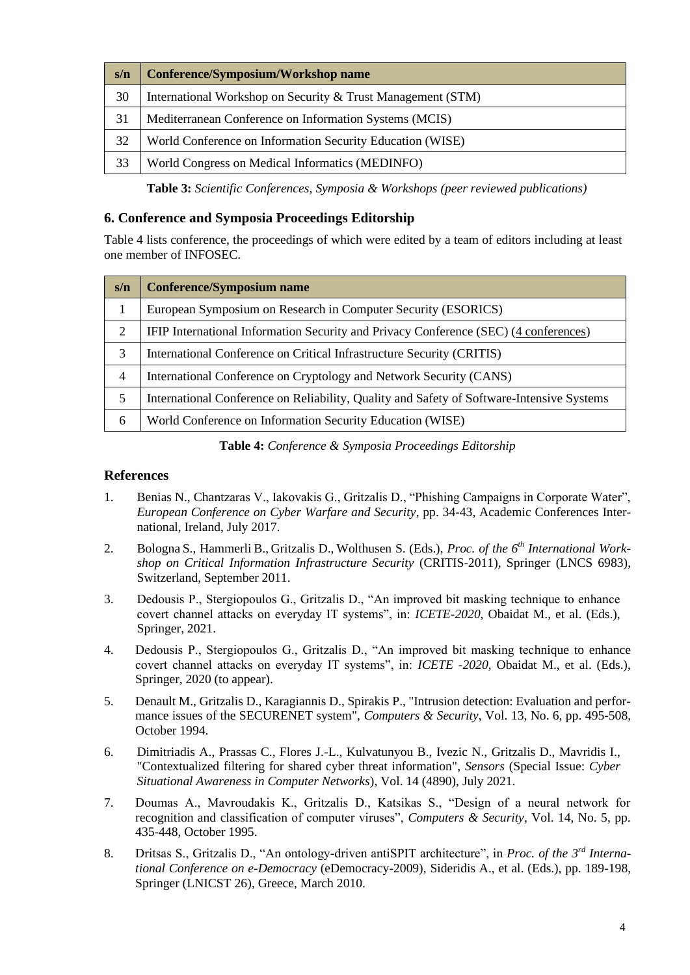| s/n | Conference/Symposium/Workshop name                          |
|-----|-------------------------------------------------------------|
| 30  | International Workshop on Security & Trust Management (STM) |
| 31  | Mediterranean Conference on Information Systems (MCIS)      |
| 32  | World Conference on Information Security Education (WISE)   |
| 33  | World Congress on Medical Informatics (MEDINFO)             |

**Table 3:** *Scientific Conferences, Symposia & Workshops (peer reviewed publications)*

#### **6. Conference and Symposia Proceedings Editorship**

Table 4 lists conference, the proceedings of which were edited by a team of editors including at least one member of INFOSEC.

| s/n            | <b>Conference/Symposium name</b>                                                          |
|----------------|-------------------------------------------------------------------------------------------|
| 1              | European Symposium on Research in Computer Security (ESORICS)                             |
| 2              | IFIP International Information Security and Privacy Conference (SEC) (4 conferences)      |
| 3              | International Conference on Critical Infrastructure Security (CRITIS)                     |
| $\overline{4}$ | International Conference on Cryptology and Network Security (CANS)                        |
| 5              | International Conference on Reliability, Quality and Safety of Software-Intensive Systems |
| 6              | World Conference on Information Security Education (WISE)                                 |

**Table 4:** *Conference & Symposia Proceedings Editorship*

#### **References**

- 1. Benias N., Chantzaras V., Iakovakis G., Gritzalis D., "Phishing Campaigns in Corporate Water", *European Conference on Cyber Warfare and Security*, pp. 34-43, Academic Conferences International, Ireland, July 2017.
- 2. Bologna S., Hammerli B., Gritzalis D., Wolthusen S. (Eds.), *Proc. of the 6th International Workshop on Critical Information Infrastructure Security* (CRITIS-2011), Springer (LNCS 6983), Switzerland, September 2011.
- 3. Dedousis P., Stergiopoulos G., Gritzalis D., "An improved bit masking technique to enhance covert channel attacks on everyday IT systems", in: *ICETE-2020*, Obaidat M., et al. (Eds.), Springer, 2021.
- 4. Dedousis P., Stergiopoulos G., Gritzalis D., "An improved bit masking technique to enhance covert channel attacks on everyday IT systems", in: *ICETE -2020*, Obaidat M., et al. (Eds.), Springer, 2020 (to appear).
- 5. Denault M., Gritzalis D., Karagiannis D., Spirakis P., "Intrusion detection: Evaluation and performance issues of the SECURENET system", *Computers & Security*, Vol. 13, No. 6, pp. 495-508, October 1994.
- 6. Dimitriadis A., Prassas C., Flores J.-L., Kulvatunyou B., Ivezic N., Gritzalis D., Mavridis I., "Contextualized filtering for shared cyber threat information", *Sensors* (Special Issue: *Cyber Situational Awareness in Computer Networks*), Vol. 14 (4890), July 2021.
- 7. Doumas A., Mavroudakis K., Gritzalis D., Katsikas S., "Design of a neural network for recognition and classification of computer viruses", *Computers & Security*, Vol. 14, No. 5, pp. 435-448, October 1995.
- 8. Dritsas S., Gritzalis D., "An ontology-driven antiSPIT architecture", in *Proc. of the 3rd International Conference on e-Democracy* (eDemocracy-2009), Sideridis A., et al. (Eds.), pp. 189-198, Springer (LNICST 26), Greece, March 2010.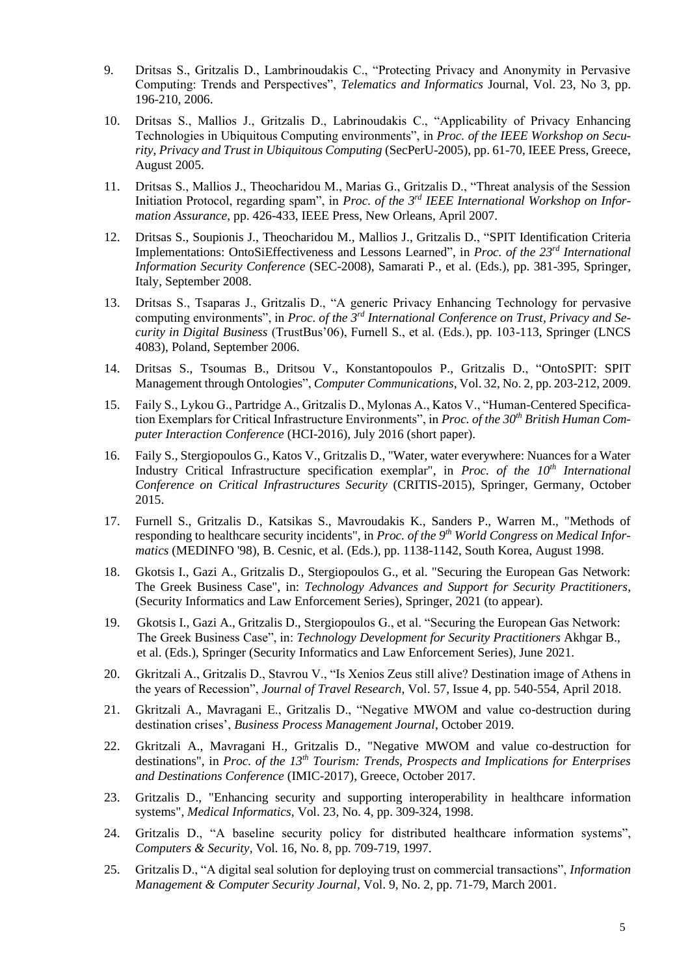- 9. Dritsas S., Gritzalis D., Lambrinoudakis C., "Protecting Privacy and Anonymity in Pervasive Computing: Trends and Perspectives", *Telematics and Informatics* Journal, Vol. 23, Νο 3, pp. 196-210, 2006.
- 10. Dritsas S., Mallios J., Gritzalis D., Labrinoudakis C., "Applicability of Privacy Enhancing Technologies in Ubiquitous Computing environments", in *Proc. of the IEEE Workshop on Security, Privacy and Trust in Ubiquitous Computing* (SecPerU-2005), pp. 61-70, IEEE Press, Greece, August 2005.
- 11. Dritsas S., Mallios J., Theocharidou M., Marias G., Gritzalis D., "Threat analysis of the Session Initiation Protocol, regarding spam", in *Proc. of the 3rd IEEE International Workshop on Information Assurance*, pp. 426-433, IEEE Press, New Orleans, April 2007.
- 12. Dritsas S., Soupionis J., Theocharidou M., Mallios J., Gritzalis D., "SPIT Identification Criteria Implementations: OntoSiEffectiveness and Lessons Learned", in *Proc. of the 23rd International Information Security Conference* (SEC-2008), Samarati P., et al. (Eds.), pp. 381-395, Springer, Italy, September 2008.
- 13. Dritsas S., Tsaparas J., Gritzalis D., "A generic Privacy Enhancing Technology for pervasive computing environments", in *Proc. of the 3rd International Conference on Trust, Privacy and Security in Digital Business* (TrustBus'06), Furnell S., et al. (Eds.), pp. 103-113, Springer (LNCS 4083), Poland, September 2006.
- 14. Dritsas S., Tsoumas B., Dritsou V., Konstantopoulos P., Gritzalis D., "OntoSPIT: SPIT Management through Ontologies", *Computer Communications*, Vol. 32, No. 2, pp. 203-212, 2009.
- 15. Faily S., Lykou G., Partridge A., Gritzalis D., Mylonas A., Katos V., "Human-Centered Specification Exemplars for Critical Infrastructure Environments", in *Proc. of the 30th British Human Computer Interaction Conference* (HCI-2016), July 2016 (short paper).
- 16. Faily S., Stergiopoulos G., Katos V., Gritzalis D., "Water, water everywhere: Nuances for a Water Industry Critical Infrastructure specification exemplar", in *Proc. of the 10th International Conference on Critical Infrastructures Security* (CRITIS-2015), Springer, Germany, October 2015.
- 17. Furnell S., Gritzalis D., Katsikas S., Mavroudakis K., Sanders P., Warren M., "Methods of responding to healthcare security incidents", in *Proc. of the 9th World Congress on Medical Informatics* (MEDINFO '98), B. Cesnic, et al. (Eds.), pp. 1138-1142, South Korea, August 1998.
- 18. Gkotsis I., Gazi A., Gritzalis D., Stergiopoulos G., et al. "Securing the European Gas Network: The Greek Business Case", in: *Technology Advances and Support for Security Practitioners*, (Security Informatics and Law Enforcement Series), Springer, 2021 (to appear).
- 19. Gkotsis I., Gazi A., Gritzalis D., Stergiopoulos G., et al. "Securing the European Gas Network: The Greek Business Case", in: *Technology Development for Security Practitioners* Akhgar B., et al. (Eds.), Springer (Security Informatics and Law Enforcement Series), June 2021.
- 20. Gkritzali A., Gritzalis D., Stavrou V., "Is Xenios Zeus still alive? Destination image of Athens in the years of Recession", *Journal of Travel Research*, Vol. 57, Issue 4, pp. 540-554, April 2018.
- 21. Gkritzali A., Mavragani E., Gritzalis D., "Negative MWOM and value co-destruction during destination crises', *Business Process Management Journal*, October 2019.
- 22. Gkritzali A., Mavragani H., Gritzalis D., "Negative MWOM and value co-destruction for destinations", in *Proc. of the 13th Tourism: Trends, Prospects and Implications for Enterprises and Destinations Conference* (IMIC-2017), Greece, October 2017.
- 23. Gritzalis D., "Enhancing security and supporting interoperability in healthcare information systems", *Medical Informatics*, Vol. 23, No. 4, pp. 309-324, 1998.
- 24. Gritzalis D., "A baseline security policy for distributed healthcare information systems", *Computers & Security*, Vol. 16, No. 8, pp. 709-719, 1997.
- 25. Gritzalis D., "A digital seal solution for deploying trust on commercial transactions", *Information Management & Computer Security Journal*, Vol. 9, No. 2, pp. 71-79, March 2001.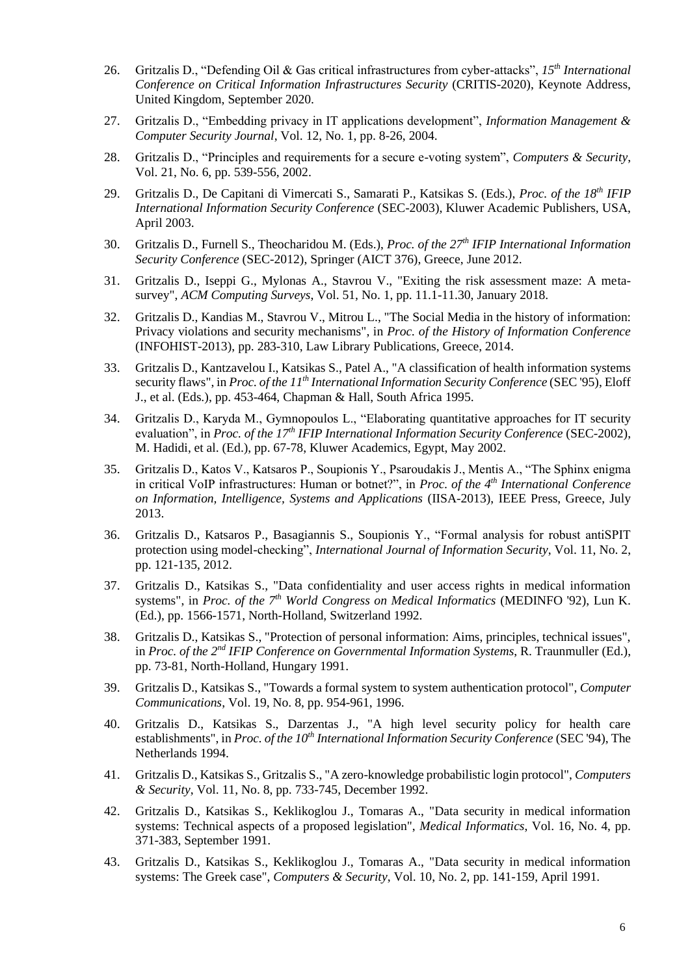- 26. Gritzalis D., "Defending Oil & Gas critical infrastructures from cyber-attacks", *15th International Conference on Critical Information Infrastructures Security* (CRITIS-2020), Keynote Address, United Kingdom, September 2020.
- 27. Gritzalis D., "Embedding privacy in IT applications development", *Information Management & Computer Security Journal*, Vol. 12, No. 1, pp. 8-26, 2004.
- 28. Gritzalis D., "Principles and requirements for a secure e-voting system", *Computers & Security*, Vol. 21, No. 6, pp. 539-556, 2002.
- 29. Gritzalis D., De Capitani di Vimercati S., Samarati P., Katsikas S. (Eds.), *Proc. of the 18th IFIP International Information Security Conference* (SEC-2003), Kluwer Academic Publishers, USA, April 2003.
- 30. Gritzalis D., Furnell S., Theocharidou M. (Eds.), *Proc. of the 27th IFIP International Information Security Conference* (SEC-2012), Springer (AICT 376), Greece, June 2012.
- 31. Gritzalis D., Iseppi G., Mylonas A., Stavrou V., "Exiting the risk assessment maze: A metasurvey", *ACM Computing Surveys*, Vol. 51, No. 1, pp. 11.1-11.30, January 2018.
- 32. Gritzalis D., Kandias M., Stavrou V., Mitrou L., "The Social Media in the history of information: Privacy violations and security mechanisms", in *Proc. of the History of Information Conference* (INFOHIST-2013), pp. 283-310, Law Library Publications, Greece, 2014.
- 33. Gritzalis D., Kantzavelou I., Katsikas S., Patel A., "A classification of health information systems security flaws", in *Proc. of the 11th International Information Security Conference* (SEC '95), Eloff J., et al. (Eds.), pp. 453-464, Chapman & Hall, South Africa 1995.
- 34. Gritzalis D., Karyda M., Gymnopoulos L., "Elaborating quantitative approaches for IT security evaluation", in *Proc. of the 17th IFIP International Information Security Conference* (SEC-2002), M. Hadidi, et al. (Ed.), pp. 67-78, Kluwer Academics, Egypt, May 2002.
- 35. Gritzalis D., Katos V., Katsaros P., Soupionis Y., Psaroudakis J., Mentis A., "The Sphinx enigma in critical VoIP infrastructures: Human or botnet?", in *Proc. of the 4th International Conference on Information, Intelligence, Systems and Applications* (IISA-2013), IEEE Press, Greece, July 2013.
- 36. Gritzalis D., Katsaros P., Basagiannis S., Soupionis Y., "Formal analysis for robust antiSPIT protection using model-checking", *International Journal of Information Security*, Vol. 11, No. 2, pp. 121-135, 2012.
- 37. Gritzalis D., Katsikas S., "Data confidentiality and user access rights in medical information systems", in *Proc. of the 7th World Congress on Medical Informatics* (MEDINFO '92), Lun K. (Ed.), pp. 1566-1571, North-Holland, Switzerland 1992.
- 38. Gritzalis D., Katsikas S., "Protection of personal information: Aims, principles, technical issues", in *Proc. of the 2nd IFIP Conference on Governmental Information Systems*, R. Traunmuller (Ed.), pp. 73-81, North-Holland, Hungary 1991.
- 39. Gritzalis D., Katsikas S., "Towards a formal system to system authentication protocol", *Computer Communications*, Vol. 19, No. 8, pp. 954-961, 1996.
- 40. Gritzalis D., Katsikas S., Darzentas J., "A high level security policy for health care establishments", in *Proc. of the 10th International Information Security Conference* (SEC '94), The Netherlands 1994.
- 41. Gritzalis D., Katsikas S., Gritzalis S., "A zero-knowledge probabilistic login protocol", *Computers & Security*, Vol. 11, No. 8, pp. 733-745, December 1992.
- 42. Gritzalis D., Katsikas S., Keklikoglou J., Tomaras A., "Data security in medical information systems: Technical aspects of a proposed legislation", *Medical Informatics*, Vol. 16, No. 4, pp. 371-383, September 1991.
- 43. Gritzalis D., Katsikas S., Keklikoglou J., Tomaras A., "Data security in medical information systems: The Greek case", *Computers & Security*, Vol. 10, No. 2, pp. 141-159, April 1991.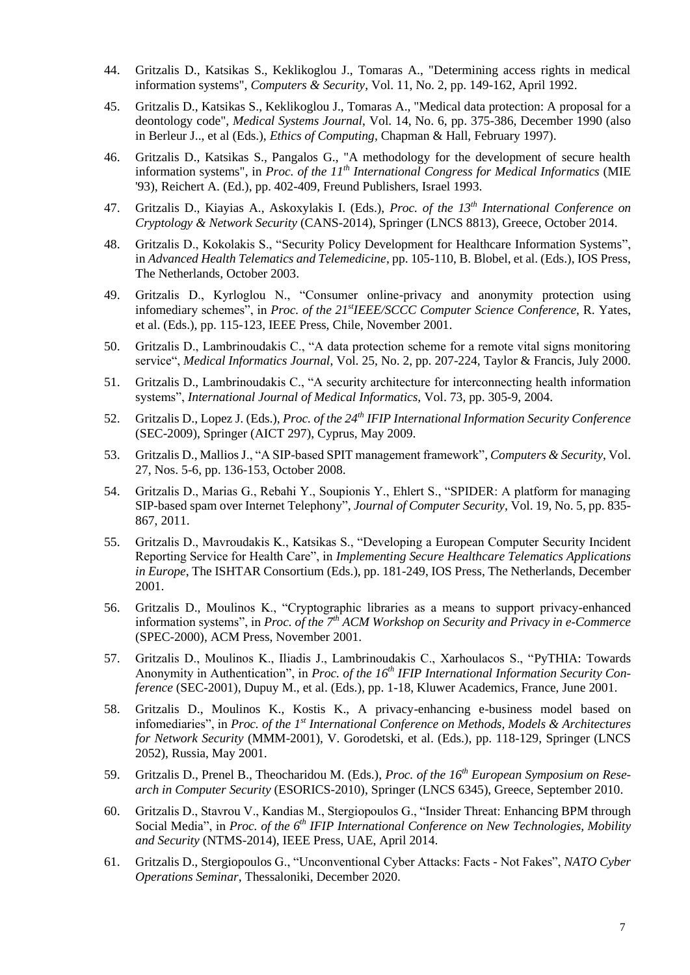- 44. Gritzalis D., Katsikas S., Keklikoglou J., Tomaras A., "Determining access rights in medical information systems", *Computers & Security*, Vol. 11, No. 2, pp. 149-162, April 1992.
- 45. Gritzalis D., Katsikas S., Keklikoglou J., Tomaras A., "Medical data protection: A proposal for a deontology code", *Medical Systems Journal*, Vol. 14, No. 6, pp. 375-386, December 1990 (also in Berleur J.., et al (Eds.), *Ethics of Computing*, Chapman & Hall, February 1997).
- 46. Gritzalis D., Katsikas S., Pangalos G., "A methodology for the development of secure health information systems", in *Proc. of the 11th International Congress for Medical Informatics* (MIE '93), Reichert A. (Ed.), pp. 402-409, Freund Publishers, Israel 1993.
- 47. Gritzalis D., Kiayias A., Askoxylakis I. (Eds.), *Proc. of the 13th International Conference on Cryptology & Network Security* (CANS-2014), Springer (LNCS 8813), Greece, October 2014.
- 48. Gritzalis D., Kokolakis S., "Security Policy Development for Healthcare Information Systems", in *Advanced Health Telematics and Telemedicine*, pp. 105-110, B. Blobel, et al. (Eds.), IOS Press, The Netherlands, October 2003.
- 49. Gritzalis D., Kyrloglou N., "Consumer online-privacy and anonymity protection using infomediary schemes", in *Proc. of the 21stIEEE/SCCC Computer Science Conference*, R. Yates, et al. (Eds.), pp. 115-123, IEEE Press, Chile, November 2001.
- 50. Gritzalis D., Lambrinoudakis C., "A data protection scheme for a remote vital signs monitoring service", *Medical Informatics Journal*, Vol. 25, No. 2, pp. 207-224, Taylor & Francis, July 2000.
- 51. Gritzalis D., Lambrinoudakis C., "A security architecture for interconnecting health information systems", *International Journal of Medical Informatics,* Vol. 73, pp. 305-9, 2004.
- 52. Gritzalis D., Lopez J. (Eds.), *Proc. of the 24th IFIP International Information Security Conference* (SEC-2009), Springer (AICT 297), Cyprus, May 2009.
- 53. Gritzalis D., MalliosJ., "A SIP-based SPIT management framework", *Computers & Security*, Vol. 27, Nos. 5-6, pp. 136-153, October 2008.
- 54. Gritzalis D., Marias G., Rebahi Y., Soupionis Y., Ehlert S., "SPIDER: A platform for managing SIP-based spam over Internet Telephony", *Journal of Computer Security*, Vol. 19, No. 5, pp. 835- 867, 2011.
- 55. Gritzalis D., Mavroudakis K., Katsikas S., "Developing a European Computer Security Incident Reporting Service for Health Care", in *Implementing Secure Healthcare Telematics Applications in Europe*, The ISHTAR Consortium (Eds.), pp. 181-249, IOS Press, The Netherlands, December 2001.
- 56. Gritzalis D., Moulinos K., "Cryptographic libraries as a means to support privacy-enhanced information systems", in *Proc. of the 7th ACM Workshop on Security and Privacy in e-Commerce* (SPEC-2000), ACM Press, Νovember 2001.
- 57. Gritzalis D., Moulinos K., Iliadis J., Lambrinoudakis C., Xarhoulacos S., "PyTHIA: Towards Anonymity in Authentication", in *Proc. of the 16th IFIP International Information Security Conference* (SEC-2001), Dupuy M., et al. (Eds.), pp. 1-18, Kluwer Academics, France, June 2001.
- 58. Gritzalis D., Moulinos K., Kostis K., A privacy-enhancing e-business model based on infomediaries", in *Proc. of the 1st International Conference on Methods, Models & Architectures for Network Security* (MMM-2001), V. Gorodetski, et al. (Eds.), pp. 118-129, Springer (LNCS 2052), Russia, May 2001.
- 59. Gritzalis D., Prenel B., Theocharidou M. (Eds.), *Proc. of the 16th European Symposium on Research in Computer Security* (ESORICS-2010), Springer (LNCS 6345), Greece, September 2010.
- 60. Gritzalis D., Stavrou V., Kandias M., Stergiopoulos G., "Insider Threat: Εnhancing BPM through Social Media", in *Proc. of the 6th IFIP International Conference on New Technologies, Mobility and Security* (NTMS-2014), IEEE Press, UAE, April 2014.
- 61. Gritzalis D., Stergiopoulos G., "Unconventional Cyber Attacks: Facts Not Fakes", *NATO Cyber Operations Seminar*, Thessaloniki, December 2020.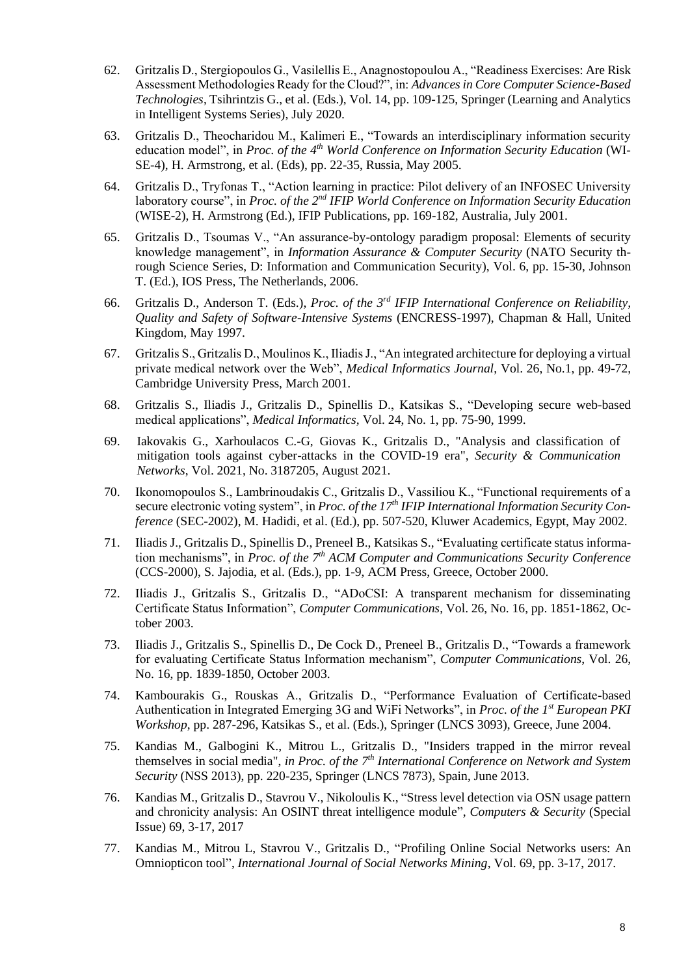- 62. Gritzalis D., Stergiopoulos G., Vasilellis E., Anagnostopoulou A., "Readiness Exercises: Are Risk Assessment Methodologies Ready for the Cloud?", in: *Advances in Core Computer Science-Based Technologies*, Tsihrintzis G., et al. (Eds.), Vol. 14, pp. 109-125, Springer (Learning and Analytics in Intelligent Systems Series), July 2020.
- 63. Gritzalis D., Theocharidou M., Kalimeri E., "Towards an interdisciplinary information security education model", in *Proc. of the 4th World Conference on Information Security Education* (WI-SE-4), H. Armstrong, et al. (Eds), pp. 22-35, Russia, May 2005.
- 64. Gritzalis D., Tryfonas T., "Action learning in practice: Pilot delivery of an INFOSEC University laboratory course", in *Proc. of the 2nd IFIP World Conference on Information Security Education*  (WISE-2), H. Armstrong (Ed.), IFIP Publications, pp. 169-182, Australia, July 2001.
- 65. Gritzalis D., Tsoumas V., "An assurance-by-ontology paradigm proposal: Elements of security knowledge management", in *Information Assurance & Computer Security* (NATO Security through Science Series, D: Information and Communication Security), Vol. 6, pp. 15-30, Johnson T. (Ed.), IOS Press, The Netherlands, 2006.
- 66. Gritzalis D., Αnderson T. (Eds.), *Proc. of the 3rd IFIP International Conference on Reliability, Quality and Safety of Software-Intensive Systems* (ENCRESS-1997), Chapman & Hall, United Kingdom, May 1997.
- 67. Gritzalis S., Gritzalis D., Moulinos K., Iliadis J., "An integrated architecture for deploying a virtual private medical network over the Web", *Medical Informatics Journal*, Vol. 26, No.1, pp. 49-72, Cambridge University Press, March 2001.
- 68. Gritzalis S., Iliadis J., Gritzalis D., Spinellis D., Katsikas S., "Developing secure web-based medical applications", *Medical Informatics,* Vol. 24, No. 1, pp. 75-90, 1999.
- 69. Iakovakis G., Xarhoulacos C.-G, Giovas K., Gritzalis D., "Analysis and classification of mitigation tools against cyber-attacks in the COVID-19 era", *Security & Communication Networks*, Vol. 2021, No. 3187205, August 2021.
- 70. Ikonomopoulos S., Lambrinoudakis C., Gritzalis D., Vassiliou K., "Functional requirements of a secure electronic voting system", in *Proc. of the 17th IFIP International Information Security Conference* (SEC-2002), M. Hadidi, et al. (Ed.), pp. 507-520, Kluwer Academics, Egypt, May 2002.
- 71. Iliadis J., Gritzalis D., Spinellis D., Preneel B., Katsikas S., "Evaluating certificate status information mechanisms", in *Proc. of the 7th ACM Computer and Communications Security Conference* (CCS-2000), S. Jajodia, et al. (Eds.), pp. 1-9, ACM Press, Greece, October 2000.
- 72. Iliadis J., Gritzalis S., Gritzalis D., "ADoCSI: A transparent mechanism for disseminating Certificate Status Information", *Computer Communications*, Vol. 26, No. 16, pp. 1851-1862, October 2003.
- 73. Iliadis J., Gritzalis S., Spinellis D., De Cock D., Preneel B., Gritzalis D., "Towards a framework for evaluating Certificate Status Information mechanism", *Computer Communications*, Vol. 26, No. 16, pp. 1839-1850, October 2003.
- 74. Kambourakis G., Rouskas A., Gritzalis D., "Performance Evaluation of Certificate-based Authentication in Integrated Emerging 3G and WiFi Networks", in *Proc. of the 1st European PKI Workshop*, pp. 287-296, Katsikas S., et al. (Eds.), Springer (LNCS 3093), Greece, June 2004.
- 75. Kandias M., Galbogini K., Mitrou L., Gritzalis D., "Insiders trapped in the mirror reveal themselves in social media", *in Proc. of the 7th International Conference on Network and System Security* (NSS 2013), pp. 220-235, Springer (LNCS 7873), Spain, June 2013.
- 76. Kandias M., Gritzalis D., Stavrou V., Nikoloulis K., "Stress level detection via OSN usage pattern and chronicity analysis: An OSINT threat intelligence module", *Computers & Security* (Special Issue) 69, 3-17, 2017
- 77. Kandias M., Mitrou L, Stavrou V., Gritzalis D., "Profiling Online Social Networks users: An Omniopticon tool", *International Journal of Social Networks Mining*, Vol. 69, pp. 3-17, 2017.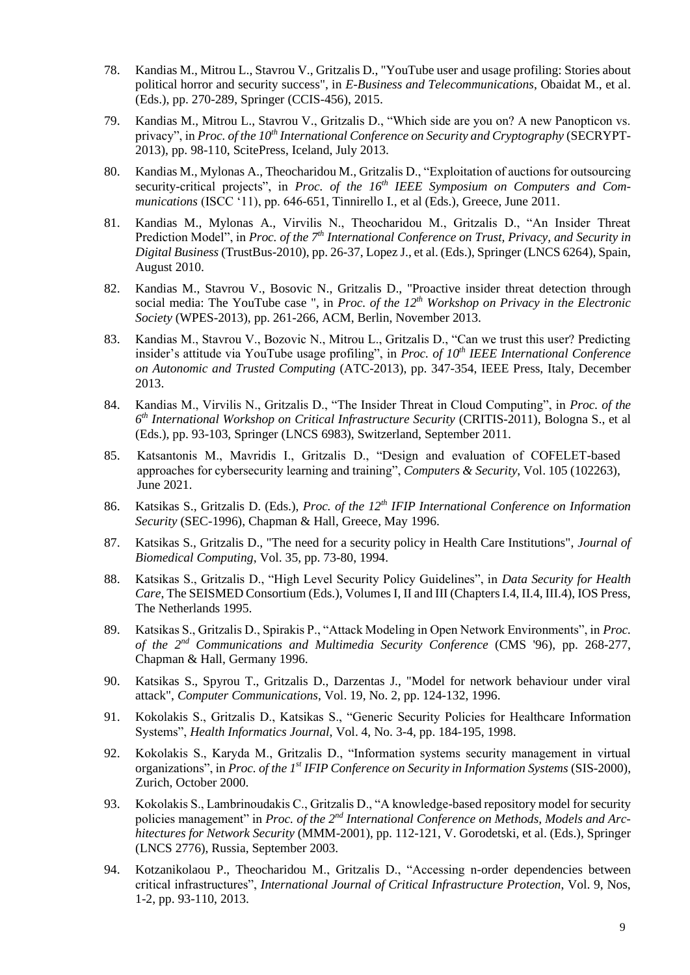- 78. Kandias M., Mitrou L., Stavrou V., Gritzalis D., "YouTube user and usage profiling: Stories about political horror and security success", in *E-Business and Telecommunications*, Obaidat M., et al. (Eds.), pp. 270-289, Springer (CCIS-456), 2015.
- 79. Kandias M., Mitrou L., Stavrou V., Gritzalis D., "Which side are you on? A new Panopticon vs. privacy", in *Proc. of the 10th International Conference on Security and Cryptography* (SECRYPT-2013), pp. 98-110, ScitePress, Iceland, July 2013.
- 80. Kandias M., Mylonas A., Theocharidou M., Gritzalis D., "Exploitation of auctions for outsourcing security-critical projects", in *Proc. of the 16th IEEE Symposium on Computers and Communications* (ISCC '11), pp. 646-651, Tinnirello I., et al (Eds.), Greece, June 2011.
- 81. Kandias M., Mylonas A., Virvilis N., Theocharidou M., Gritzalis D., "An Insider Threat Prediction Model", in *Proc. of the 7<sup>th</sup> International Conference on Trust, Privacy, and Security in Digital Business* (TrustBus-2010), pp. 26-37, Lopez J., et al. (Eds.), Springer (LNCS 6264), Spain, August 2010.
- 82. Kandias M., Stavrou V., Bosovic N., Gritzalis D., "Proactive insider threat detection through social media: The YouTube case ", in *Proc. of the 12th Workshop on Privacy in the Electronic Society* (WPES-2013), pp. 261-266, ACM, Berlin, November 2013.
- 83. Kandias M., Stavrou V., Bozovic N., Mitrou L., Gritzalis D., "Can we trust this user? Predicting insider's attitude via YouTube usage profiling", in *Proc. of 10th IEEE International Conference on Autonomic and Trusted Computing* (ATC-2013), pp. 347-354, IEEE Press, Italy, December 2013.
- 84. Kandias M., Virvilis N., Gritzalis D., "The Insider Threat in Cloud Computing", in *Proc. of the 6 th International Workshop on Critical Infrastructure Security* (CRITIS-2011), Bologna S., et al (Eds.), pp. 93-103, Springer (LNCS 6983), Switzerland, September 2011.
- 85. Katsantonis M., Mavridis I., Gritzalis D., "Design and evaluation of COFELET-based approaches for cybersecurity learning and training", *Computers & Security*, Vol. 105 (102263), June 2021.
- 86. Katsikas S., Gritzalis D. (Eds.), *Proc. of the 12th IFIP International Conference on Information Security* (SEC-1996), Chapman & Hall, Greece, May 1996.
- 87. Katsikas S., Gritzalis D., "The need for a security policy in Health Care Institutions", *Journal of Biomedical Computing*, Vol. 35, pp. 73-80, 1994.
- 88. Katsikas S., Gritzalis D., "High Level Security Policy Guidelines", in *Data Security for Health Care*, The SEISMED Consortium (Eds.), Volumes I, II and III (Chapters I.4, II.4, III.4), IOS Press, The Netherlands 1995.
- 89. Katsikas S., Gritzalis D., Spirakis P., "Attack Modeling in Open Network Environments", in *Proc. of the 2nd Communications and Multimedia Security Conference* (CMS '96), pp. 268-277, Chapman & Hall, Germany 1996.
- 90. Katsikas S., Spyrou T., Gritzalis D., Darzentas J., "Model for network behaviour under viral attack", *Computer Communications*, Vol. 19, No. 2, pp. 124-132, 1996.
- 91. Kokolakis S., Gritzalis D., Katsikas S., "Generic Security Policies for Healthcare Information Systems", *Health Informatics Journal*, Vol. 4, No. 3-4, pp. 184-195, 1998.
- 92. Kokolakis S., Karyda M., Gritzalis D., "Information systems security management in virtual organizations", in *Proc. of the 1st IFIP Conference on Security in Information Systems* (SIS-2000), Zurich, October 2000.
- 93. Kokolakis S., Lambrinoudakis C., Gritzalis D., "A knowledge-based repository model for security policies management" in *Proc. of the 2<sup>nd</sup> International Conference on Methods, Models and Architectures for Network Security* (MMM-2001), pp. 112-121, V. Gorodetski, et al. (Eds.), Springer (LNCS 2776), Russia, September 2003.
- 94. Kotzanikolaou P., Theocharidou M., Gritzalis D., "Accessing n-order dependencies between critical infrastructures", *International Journal of Critical Infrastructure Protection*, Vol. 9, Nos, 1-2, pp. 93-110, 2013.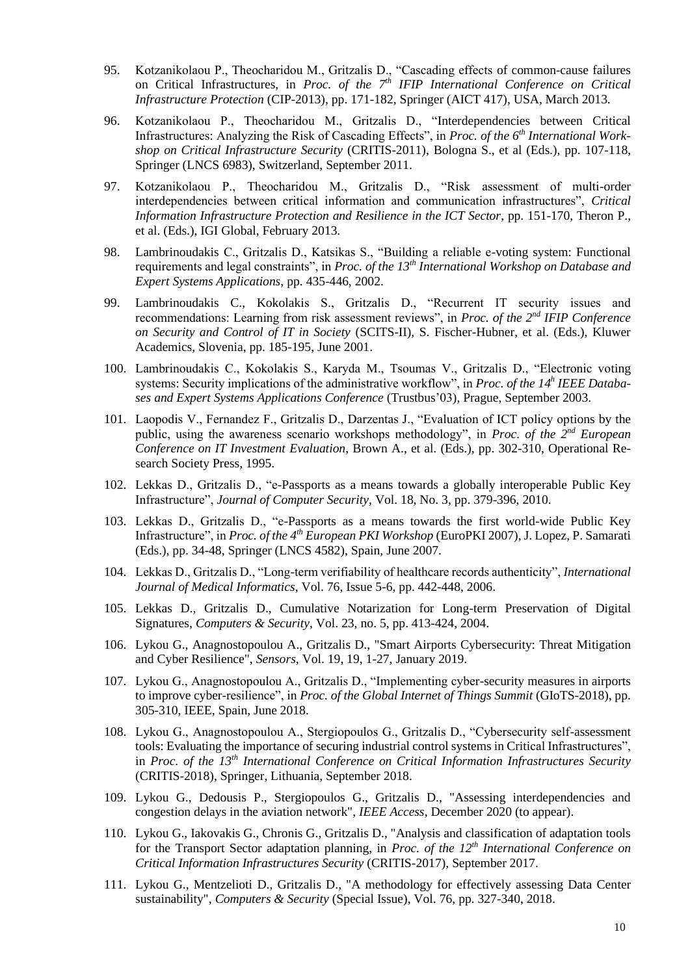- 95. Kotzanikolaou P., Theocharidou M., Gritzalis D., "Cascading effects of common-cause failures on Critical Infrastructures, in *Proc. of the 7th IFIP International Conference on Critical Infrastructure Protection* (CIP-2013), pp. 171-182, Springer (AICT 417), USA, March 2013.
- 96. Kotzanikolaou P., Theocharidou M., Gritzalis D., "Interdependencies between Critical Infrastructures: Analyzing the Risk of Cascading Effects", in *Proc. of the 6th International Workshop on Critical Infrastructure Security* (CRITIS-2011), Bologna S., et al (Eds.), pp. 107-118, Springer (LNCS 6983), Switzerland, September 2011.
- 97. Kotzanikolaou P., Theocharidou M., Gritzalis D., "Risk assessment of multi-order interdependencies between critical information and communication infrastructures", *Critical Information Infrastructure Protection and Resilience in the ICT Sector*, pp. 151-170, Theron P., et al. (Eds.), IGI Global, February 2013.
- 98. Lambrinoudakis C., Gritzalis D., Katsikas S., "Building a reliable e-voting system: Functional requirements and legal constraints", in *Proc. of the 13th International Workshop on Database and Expert Systems Applications*, pp. 435-446, 2002.
- 99. Lambrinoudakis C., Kokolakis S., Gritzalis D., "Recurrent IT security issues and recommendations: Learning from risk assessment reviews", in *Proc. of the 2nd IFIP Conference on Security and Control of IT in Society* (SCITS-II), S. Fischer-Hubner, et al. (Eds.), Kluwer Academics, Slovenia, pp. 185-195, June 2001.
- 100. Lambrinoudakis C., Kokolakis S., Karyda M., Tsoumas V., Gritzalis D., "Electronic voting systems: Security implications of the administrative workflow", in *Proc. of the 14<sup>h</sup> IEEE Databases and Expert Systems Applications Conference* (Trustbus'03), Prague, September 2003.
- 101. Laopodis V., Fernandez F., Gritzalis D., Darzentas J., "Evaluation of ICT policy options by the public, using the awareness scenario workshops methodology", in *Proc. of the 2<sup>nd</sup> European Conference on IT Investment Evaluation*, Brown A., et al. (Eds.), pp. 302-310, Operational Research Society Press, 1995.
- 102. Lekkas D., Gritzalis D., "e-Passports as a means towards a globally interoperable Public Key Infrastructure", *Journal of Computer Security*, Vol. 18, No. 3, pp. 379-396, 2010.
- 103. Lekkas D., Gritzalis D., "e-Passports as a means towards the first world-wide Public Key Infrastructure", in *Proc. of the 4th European PKI Workshop* (EuroPKI 2007), J. Lopez, P. Samarati (Eds.), pp. 34-48, Springer (LNCS 4582), Spain, June 2007.
- 104. Lekkas D., Gritzalis D., "Long-term verifiability of healthcare records authenticity", *International Journal of Medical Informatics*, Vol. 76, Issue 5-6, pp. 442-448, 2006.
- 105. Lekkas D., Gritzalis D., Cumulative Notarization for Long-term Preservation of Digital Signatures, *Computers & Security*, Vol. 23, no. 5, pp. 413-424, 2004.
- 106. Lykou G., Anagnostopoulou A., Gritzalis D., "Smart Airports Cybersecurity: Threat Mitigation and Cyber Resilience", *Sensors*, Vol. 19, 19, 1-27, January 2019.
- 107. Lykou G., Anagnostopoulou A., Gritzalis D., "Implementing cyber-security measures in airports to improve cyber-resilience", in *Proc. of the Global Internet of Things Summit* (GIoTS-2018), pp. 305-310, IEEE, Spain, June 2018.
- 108. Lykou G., Anagnostopoulou A., Stergiopoulos G., Gritzalis D., "Cybersecurity self-assessment tools: Evaluating the importance of securing industrial control systems in Critical Infrastructures", in *Proc. of the 13th International Conference on Critical Information Infrastructures Security* (CRITIS-2018), Springer, Lithuania, September 2018.
- 109. Lykou G., Dedousis P., Stergiopoulos G., Gritzalis D., "Assessing interdependencies and congestion delays in the aviation network", *IEEE Access*, December 2020 (to appear).
- 110. Lykou G., Iakovakis G., Chronis G., Gritzalis D., "Analysis and classification of adaptation tools for the Transport Sector adaptation planning, in *Proc. of the 12th International Conference on Critical Information Infrastructures Security* (CRITIS-2017), September 2017.
- 111. Lykou G., Mentzelioti D., Gritzalis D., "A methodology for effectively assessing Data Center sustainability", *Computers & Security* (Special Issue), Vol. 76, pp. 327-340, 2018.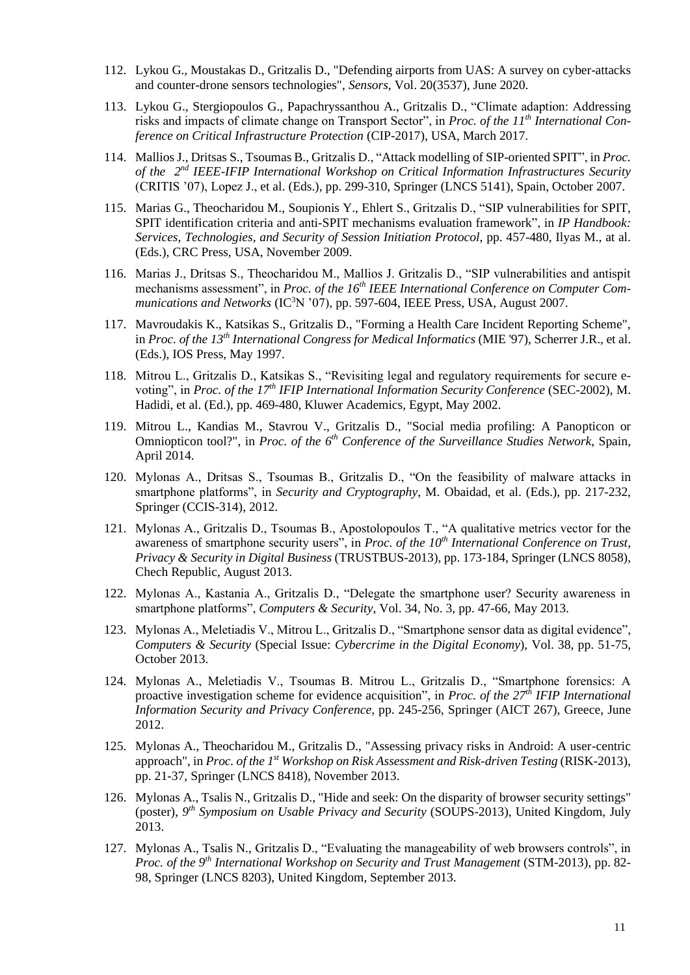- 112. Lykou G., Moustakas D., Gritzalis D., "Defending airports from UAS: A survey on cyber-attacks and counter-drone sensors technologies", *Sensors*, Vol. 20(3537), June 2020.
- 113. Lykou G., Stergiopoulos G., Papachryssanthou A., Gritzalis D., "Climate adaption: Addressing risks and impacts of climate change on Transport Sector", in *Proc. of the 11th International Conference on Critical Infrastructure Protection* (CIP-2017), USA, March 2017.
- 114. Mallios J., Dritsas S., Tsoumas B., Gritzalis D., "Attack modelling of SIP-oriented SPIT", in *Proc.*  of the 2<sup>nd</sup> IEEE-IFIP International Workshop on Critical Information Infrastructures Security (CRITIS '07), Lopez J., et al. (Eds.), pp. 299-310, Springer (LNCS 5141), Spain, October 2007.
- 115. Marias G., Theocharidou M., Soupionis Y., Ehlert S., Gritzalis D., "SIP vulnerabilities for SPIT, SPIT identification criteria and anti-SPIT mechanisms evaluation framework", in *IP Handbook: Services, Technologies, and Security of Session Initiation Protocol*, pp. 457-480, Ilyas M., at al. (Eds.), CRC Press, USA, November 2009.
- 116. Marias J., Dritsas S., Theocharidou M., Mallios J. Gritzalis D., "SIP vulnerabilities and antispit mechanisms assessment", in *Proc. of the 16th IEEE International Conference on Computer Communications and Networks* (IC<sup>3</sup>N '07), pp. 597-604, IEEE Press, USA, August 2007.
- 117. Mavroudakis K., Katsikas S., Gritzalis D., "Forming a Health Care Incident Reporting Scheme", in *Proc. of the 13th International Congress for Medical Informatics* (MIE '97), Scherrer J.R., et al. (Eds.), IOS Press, May 1997.
- 118. Mitrou L., Gritzalis D., Katsikas S., "Revisiting legal and regulatory requirements for secure evoting", in *Proc. of the 17th IFIP International Information Security Conference* (SEC-2002), M. Hadidi, et al. (Ed.), pp. 469-480, Kluwer Academics, Egypt, May 2002.
- 119. Mitrou L., Kandias M., Stavrou V., Gritzalis D., "Social media profiling: A Panopticon or Omniopticon tool?", in *Proc. of the 6th Conference of the Surveillance Studies Network*, Spain, April 2014.
- 120. Mylonas A., Dritsas S., Tsoumas B., Gritzalis D., "On the feasibility of malware attacks in smartphone platforms", in *Security and Cryptography*, M. Obaidad, et al. (Eds.), pp. 217-232, Springer (CCIS-314), 2012.
- 121. Mylonas A., Gritzalis D., Tsoumas B., Apostolopoulos T., "A qualitative metrics vector for the awareness of smartphone security users", in *Proc. of the 10th International Conference on Trust, Privacy & Security in Digital Business* (TRUSTBUS-2013), pp. 173-184, Springer (LNCS 8058), Chech Republic, August 2013.
- 122. Mylonas A., Kastania A., Gritzalis D., "Delegate the smartphone user? Security awareness in smartphone platforms", *Computers & Security*, Vol. 34, No. 3, pp. 47-66, May 2013.
- 123. Mylonas A., Meletiadis V., Mitrou L., Gritzalis D., "Smartphone sensor data as digital evidence", *Computers & Security* (Special Issue: *Cybercrime in the Digital Economy*), Vol. 38, pp. 51-75, October 2013.
- 124. Mylonas A., Meletiadis V., Tsoumas B. Mitrou L., Gritzalis D., "Smartphone forensics: A proactive investigation scheme for evidence acquisition", in *Proc. of the 27th IFIP International Information Security and Privacy Conference*, pp. 245-256, Springer (AICT 267), Greece, June 2012.
- 125. Mylonas A., Theocharidou M., Gritzalis D., "Assessing privacy risks in Android: A user-centric approach", in *Proc. of the 1st Workshop on Risk Assessment and Risk-driven Testing* (RISK-2013), pp. 21-37, Springer (LNCS 8418), November 2013.
- 126. Mylonas A., Tsalis N., Gritzalis D., "Hide and seek: On the disparity of browser security settings" (poster), *9 th Symposium on Usable Privacy and Security* (SOUPS-2013), United Kingdom, July 2013.
- 127. Mylonas A., Tsalis N., Gritzalis D., "Evaluating the manageability of web browsers controls", in *Proc. of the 9th International Workshop on Security and Trust Management* (STM-2013), pp. 82- 98, Springer (LNCS 8203), United Kingdom, September 2013.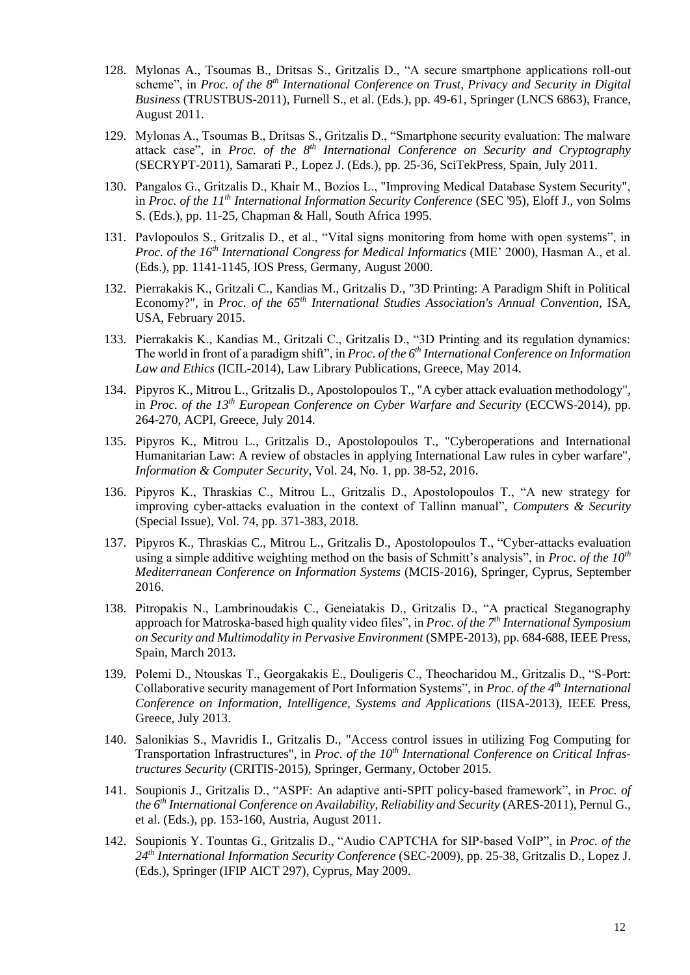- 128. Mylonas A., Tsoumas B., Dritsas S., Gritzalis D., "A secure smartphone applications roll-out scheme", in *Proc. of the 8th International Conference on Trust, Privacy and Security in Digital Business* (TRUSTBUS-2011), Furnell S., et al. (Eds.), pp. 49-61, Springer (LNCS 6863), France, August 2011.
- 129. Mylonas A., Tsoumas B., Dritsas S., Gritzalis D., "Smartphone security evaluation: The malware attack case", in *Proc. of the 8th International Conference on Security and Cryptography* (SECRYPT-2011), Samarati P., Lopez J. (Eds.), pp. 25-36, SciTekPress, Spain, July 2011.
- 130. Pangalos G., Gritzalis D., Κhair M., Bozios L., "Improving Medical Database System Security", in *Proc. of the 11th International Information Security Conference* (SEC '95), Eloff J., von Solms S. (Eds.), pp. 11-25, Chapman & Hall, South Africa 1995.
- 131. Pavlopoulos S., Gritzalis D., et al., "Vital signs monitoring from home with open systems", in *Proc. of the 16th International Congress for Medical Informatics* (MIE' 2000), Hasman A., et al. (Eds.), pp. 1141-1145, IOS Press, Germany, August 2000.
- 132. Pierrakakis K., Gritzali C., Kandias M., Gritzalis D., "3D Printing: A Paradigm Shift in Political Economy?", in *Proc. of the 65th International Studies Association's Annual Convention*, ISA, USA, February 2015.
- 133. Pierrakakis K., Kandias M., Gritzali C., Gritzalis D., "3D Printing and its regulation dynamics: The world in front of a paradigm shift", in *Proc. of the 6th International Conference on Information Law and Ethics* (ICIL-2014), Law Library Publications, Greece, May 2014.
- 134. Pipyros K., Mitrou L., Gritzalis D., Apostolopoulos T., "A cyber attack evaluation methodology", in *Proc. of the 13th European Conference on Cyber Warfare and Security* (ECCWS-2014), pp. 264-270, ACPI, Greece, July 2014.
- 135. Pipyros K., Mitrou L., Gritzalis D., Apostolopoulos T., "Cyberoperations and International Humanitarian Law: A review of obstacles in applying International Law rules in cyber warfare", *Information & Computer Security*, Vol. 24, No. 1, pp. 38-52, 2016.
- 136. Pipyros K., Thraskias C., Mitrou L., Gritzalis D., Apostolopoulos T., "A new strategy for improving cyber-attacks evaluation in the context of Tallinn manual", *Computers & Security* (Special Issue), Vol. 74, pp. 371-383, 2018.
- 137. Pipyros K., Thraskias C., Mitrou L., Gritzalis D., Apostolopoulos T., "Cyber-attacks evaluation using a simple additive weighting method on the basis of Schmitt's analysis", in *Proc. of the 10th Mediterranean Conference on Information Systems* (MCIS-2016), Springer, Cyprus, September 2016.
- 138. Pitropakis N., Lambrinoudakis C., Geneiatakis D., Gritzalis D., "A practical Steganography approach for Matroska-based high quality video files", in *Proc. of the 7th International Symposium on Security and Multimodality in Pervasive Environment* (SMPE-2013), pp. 684-688, IEEE Press, Spain, March 2013.
- 139. Polemi D., Ntouskas T., Georgakakis E., Douligeris C., Theocharidou M., Gritzalis D., "S-Port: Collaborative security management of Port Information Systems", in *Proc. of the 4 th International Conference on Information, Intelligence, Systems and Applications* (IISA-2013), IEEE Press, Greece, July 2013.
- 140. Salonikias S., Mavridis I., Gritzalis D., "Access control issues in utilizing Fog Computing for Transportation Infrastructures", in *Proc. of the 10th International Conference on Critical Infrastructures Security* (CRITIS-2015), Springer, Germany, October 2015.
- 141. Soupionis J., Gritzalis D., "ASPF: An adaptive anti-SPIT policy-based framework", in *Proc. of the 6th International Conference on Availability, Reliability and Security* (ARES-2011), Pernul G., et al. (Eds.), pp. 153-160, Austria, August 2011.
- 142. Soupionis Y. Tountas G., Gritzalis D., "Audio CAPTCHA for SIP-based VoIP", in *Proc. of the 24th International Information Security Conference* (SEC-2009), pp. 25-38, Gritzalis D., Lopez J. (Eds.), Springer (IFIP AICT 297), Cyprus, May 2009.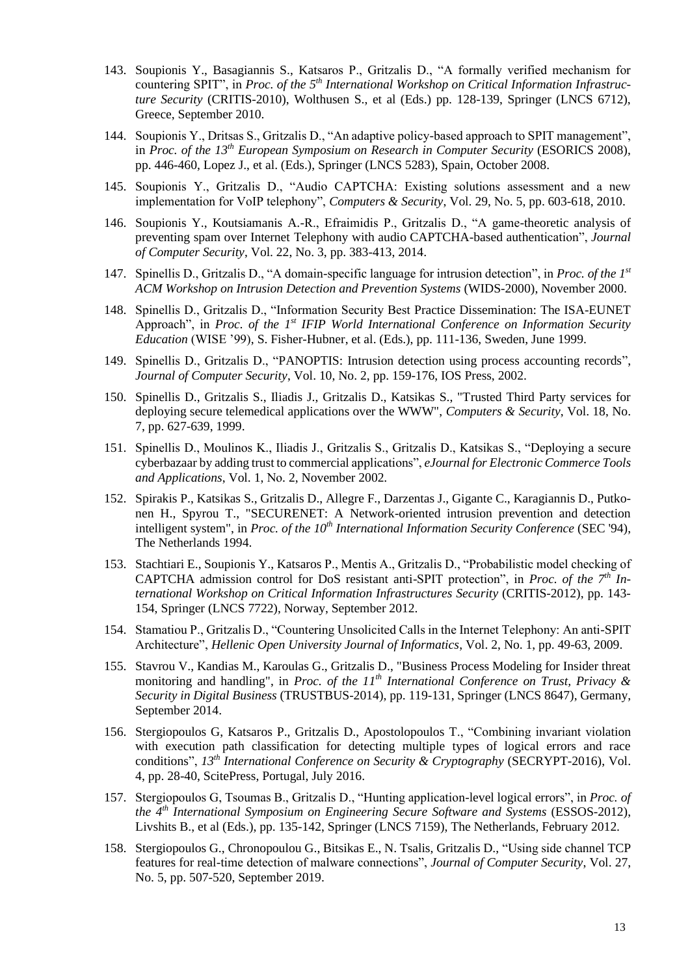- 143. Soupionis Y., Basagiannis S., Katsaros P., Gritzalis D., "A formally verified mechanism for countering SPIT", in *Proc. of the 5th International Workshop on Critical Information Infrastructure Security* (CRITIS-2010), Wolthusen S., et al (Eds.) pp. 128-139, Springer (LNCS 6712), Greece, September 2010.
- 144. Soupionis Y., Dritsas S., Gritzalis D., "An adaptive policy-based approach to SPIT management", in *Proc. of the 13th European Symposium on Research in Computer Security* (ESORICS 2008), pp. 446-460, Lopez J., et al. (Eds.), Springer (LNCS 5283), Spain, October 2008.
- 145. Soupionis Y., Gritzalis D., "Audio CAPTCHA: Existing solutions assessment and a new implementation for VoIP telephony", *Computers & Security*, Vol. 29, Νο. 5, pp. 603-618, 2010.
- 146. Soupionis Y., Koutsiamanis A.-R., Efraimidis P., Gritzalis D., "A game-theoretic analysis of preventing spam over Internet Τelephony with audio CAPTCHA-based authentication", *Journal of Computer Security*, Vol. 22, No. 3, pp. 383-413, 2014.
- 147. Spinellis D., Gritzalis D., "A domain-specific language for intrusion detection", in *Proc. of the 1st ACM Workshop on Intrusion Detection and Prevention Systems* (WIDS-2000), November 2000.
- 148. Spinellis D., Gritzalis D., "Information Security Best Practice Dissemination: The ISA-EUNET Approach", in *Proc. of the 1st IFIP World International Conference on Information Security Education* (WISE '99), S. Fisher-Hubner, et al. (Eds.), pp. 111-136, Sweden, June 1999.
- 149. Spinellis D., Gritzalis D., "PANOPTIS: Intrusion detection using process accounting records", *Journal of Computer Security*, Vol. 10, No. 2, pp. 159-176, IOS Press, 2002.
- 150. Spinellis D., Gritzalis S., Iliadis J., Gritzalis D., Katsikas S., "Trusted Third Party services for deploying secure telemedical applications over the WWW", *Computers & Security*, Vol. 18, No. 7, pp. 627-639, 1999.
- 151. Spinellis D., Moulinos K., Iliadis J., Gritzalis S., Gritzalis D., Katsikas S., "Deploying a secure cyberbazaar by adding trust to commercial applications", *eJournal for Electronic Commerce Tools and Applications*, Vol. 1, Νο. 2, November 2002.
- 152. Spirakis P., Katsikas S., Gritzalis D., Allegre F., Darzentas J., Gigante C., Karagiannis D., Putkonen H., Spyrou T., "SECURENET: A Network-oriented intrusion prevention and detection intelligent system", in *Proc. of the 10th International Information Security Conference* (SEC '94), The Netherlands 1994.
- 153. Stachtiari E., Soupionis Y., Katsaros P., Mentis A., Gritzalis D., "Probabilistic model checking of CAPTCHA admission control for DoS resistant anti-SPIT protection", in *Proc. of the 7th International Workshop on Critical Information Infrastructures Security* (CRITIS-2012), pp. 143- 154, Springer (LNCS 7722), Norway, September 2012.
- 154. Stamatiou P., Gritzalis D., "Countering Unsolicited Calls in the Internet Telephony: An anti-SPIT Architecture", *Hellenic Open University Journal of Informatics*, Vol. 2, No. 1, pp. 49-63, 2009.
- 155. Stavrou V., Kandias M., Karoulas G., Gritzalis D., "Business Process Modeling for Insider threat monitoring and handling", in *Proc. of the 11th International Conference on Trust, Privacy & Security in Digital Business* (TRUSTBUS-2014), pp. 119-131, Springer (LNCS 8647), Germany, September 2014.
- 156. Stergiopoulos G, Katsaros P., Gritzalis D., Apostolopoulos T., "Combining invariant violation with execution path classification for detecting multiple types of logical errors and race conditions", *13th International Conference on Security & Cryptography* (SECRYPT-2016), Vol. 4, pp. 28-40, ScitePress, Portugal, July 2016.
- 157. Stergiopoulos G, Tsoumas B., Gritzalis D., "Hunting application-level logical errors", in *Proc. of the 4th International Symposium on Engineering Secure Software and Systems* (ESSOS-2012), Livshits B., et al (Eds.), pp. 135-142, Springer (LNCS 7159), The Netherlands, February 2012.
- 158. Stergiopoulos G., Chronopoulou G., Bitsikas E., N. Tsalis, Gritzalis D., "Using side channel TCP features for real-time detection of malware connections", *Journal of Computer Security*, Vol. 27, No. 5, pp. 507-520, September 2019.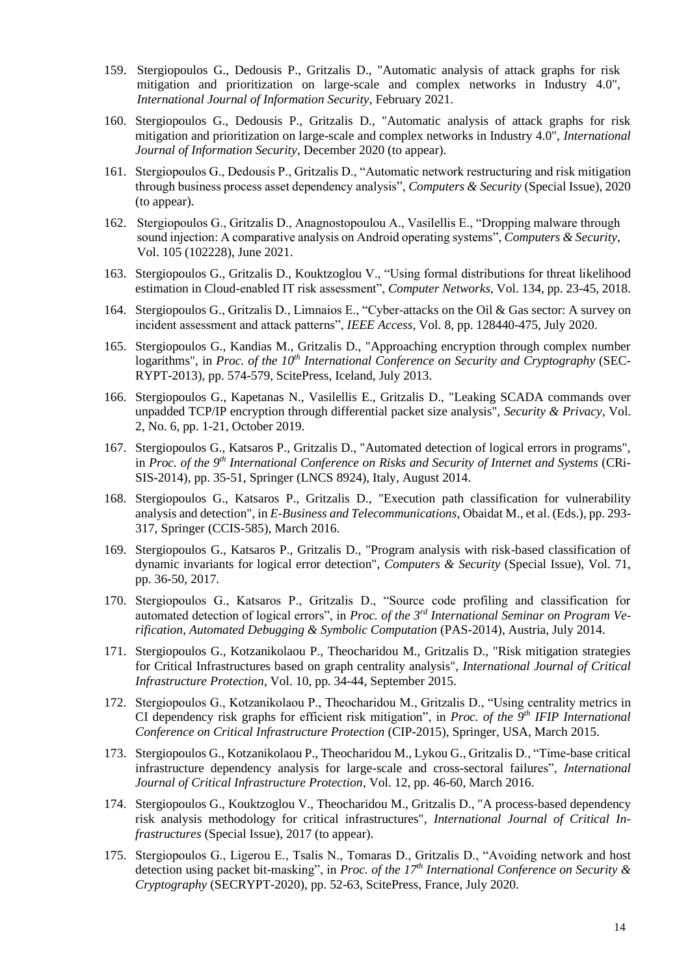- 159. Stergiopoulos G., Dedousis P., Gritzalis D., "Automatic analysis of attack graphs for risk mitigation and prioritization on large-scale and complex networks in Industry 4.0", *International Journal of Information Security*, February 2021.
- 160. Stergiopoulos G., Dedousis P., Gritzalis D., "Automatic analysis of attack graphs for risk mitigation and prioritization on large-scale and complex networks in Industry 4.0", *International Journal of Information Security*, December 2020 (to appear).
- 161. Stergiopoulos G., Dedousis P., Gritzalis D., "Automatic network restructuring and risk mitigation through business process asset dependency analysis", *Computers & Security* (Special Issue), 2020 (to appear).
- 162. Stergiopoulos G., Gritzalis D., Anagnostopoulou A., Vasilellis E., "Dropping malware through sound injection: A comparative analysis on Android operating systems", *Computers & Security*, Vol. 105 (102228), June 2021.
- 163. Stergiopoulos G., Gritzalis D., Kouktzoglou V., "Using formal distributions for threat likelihood estimation in Cloud-enabled IT risk assessment", *Computer Networks*, Vol. 134, pp. 23-45, 2018.
- 164. Stergiopoulos G., Gritzalis D., Limnaios E., "Cyber-attacks on the Oil & Gas sector: A survey on incident assessment and attack patterns", *IEEE Access*, Vol. 8, pp. 128440-475, July 2020.
- 165. Stergiopoulos G., Kandias M., Gritzalis D., "Approaching encryption through complex number logarithms", in *Proc. of the 10th International Conference on Security and Cryptography* (SEC-RYPT-2013), pp. 574-579, ScitePress, Iceland, July 2013.
- 166. Stergiopoulos G., Kapetanas N., Vasilellis E., Gritzalis D., "Leaking SCADA commands over unpadded TCP/IP encryption through differential packet size analysis", *Security & Privacy*, Vol. 2, No. 6, pp. 1-21, October 2019.
- 167. Stergiopoulos G., Katsaros P., Gritzalis D., "Automated detection of logical errors in programs", in *Proc. of the 9th International Conference on Risks and Security of Internet and Systems* (CRi-SIS-2014), pp. 35-51, Springer (LNCS 8924), Italy, August 2014.
- 168. Stergiopoulos G., Katsaros P., Gritzalis D., "Execution path classification for vulnerability analysis and detection", in *E-Business and Telecommunications*, Obaidat M., et al. (Eds.), pp. 293- 317, Springer (CCIS-585), March 2016.
- 169. Stergiopoulos G., Katsaros P., Gritzalis D., "Program analysis with risk-based classification of dynamic invariants for logical error detection", *Computers & Security* (Special Issue), Vol. 71, pp. 36-50, 2017.
- 170. Stergiopoulos G., Katsaros P., Gritzalis D., "Source code profiling and classification for automated detection of logical errors", in *Proc. of the 3rd International Seminar on Program Verification, Automated Debugging & Symbolic Computation* (PAS-2014), Austria, July 2014.
- 171. Stergiopoulos G., Kotzanikolaou P., Theocharidou M., Gritzalis D., "Risk mitigation strategies for Critical Infrastructures based on graph centrality analysis", *International Journal of Critical Infrastructure Protection*, Vol. 10, pp. 34-44, September 2015.
- 172. Stergiopoulos G., Kotzanikolaou P., Theocharidou M., Gritzalis D., "Using centrality metrics in CI dependency risk graphs for efficient risk mitigation", in *Proc. of the 9th IFIP International Conference on Critical Infrastructure Protection* (CIP-2015), Springer, USA, March 2015.
- 173. Stergiopoulos G., Kotzanikolaou P., Theocharidou M., Lykou G., Gritzalis D., "Time-base critical infrastructure dependency analysis for large-scale and cross-sectoral failures", *Ιnternational Journal of Critical Infrastructure Protection*, Vol. 12, pp. 46-60, March 2016.
- 174. Stergiopoulos G., Kouktzoglou V., Theocharidou M., Gritzalis D., "A process-based dependency risk analysis methodology for critical infrastructures", *International Journal of Critical Infrastructures* (Special Issue), 2017 (to appear).
- 175. Stergiopoulos G., Ligerou E., Tsalis N., Tomaras D., Gritzalis D., "Avoiding network and host detection using packet bit-masking", in *Proc. of the 17th International Conference on Security & Cryptography* (SECRYPT-2020), pp. 52-63, ScitePress, France, July 2020.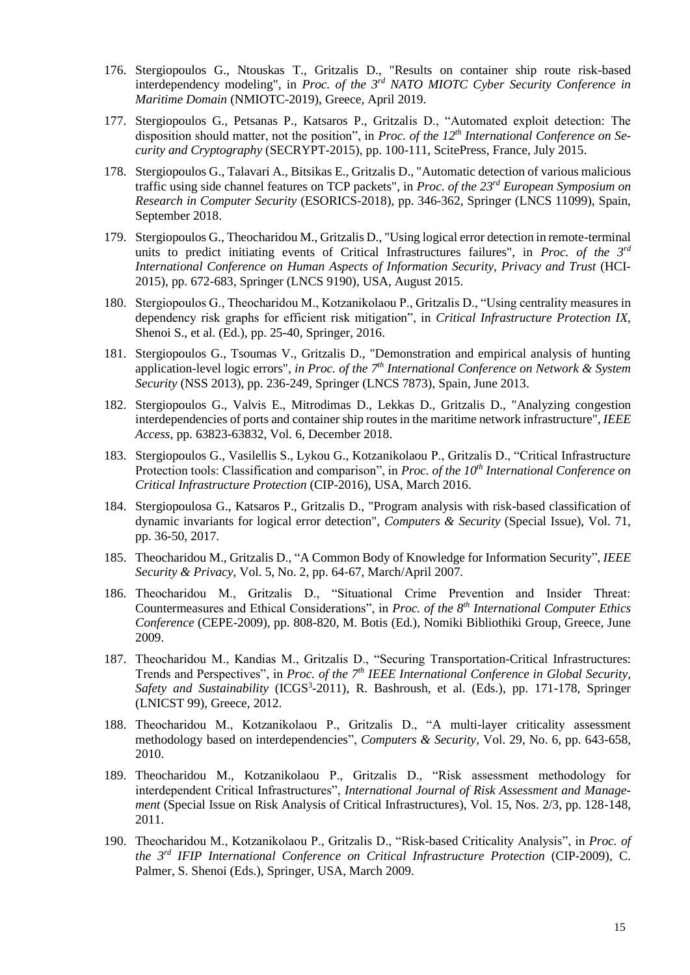- 176. Stergiopoulos G., Ntouskas T., Gritzalis D., "Results on container ship route risk-based interdependency modeling", in *Proc. of the 3rd NATO MIOTC Cyber Security Conference in Maritime Domain* (NMIOTC-2019), Greece, April 2019.
- 177. Stergiopoulos G., Petsanas P., Katsaros P., Gritzalis D., "Automated exploit detection: The disposition should matter, not the position", in *Proc. of the 12th International Conference on Security and Cryptography* (SECRYPT-2015), pp. 100-111, ScitePress, France, July 2015.
- 178. Stergiopoulos G., Talavari A., Bitsikas E., Gritzalis D., "Automatic detection of various malicious traffic using side channel features on TCP packets", in *Proc. of the 23rd European Symposium on Research in Computer Security* (ESORICS-2018), pp. 346-362, Springer (LNCS 11099), Spain, September 2018.
- 179. Stergiopoulos G., Theocharidou M., Gritzalis D., "Using logical error detection in remote-terminal units to predict initiating events of Critical Infrastructures failures", in *Proc. of the 3rd International Conference on Human Aspects of Information Security, Privacy and Trust* (HCI-2015), pp. 672-683, Springer (LNCS 9190), USA, August 2015.
- 180. Stergiopoulos G., Theocharidou M., Kotzanikolaou P., Gritzalis D., "Using centrality measures in dependency risk graphs for efficient risk mitigation", in *Critical Infrastructure Protection IX*, Shenoi S., et al. (Ed.), pp. 25-40, Springer, 2016.
- 181. Stergiopoulos G., Tsoumas V., Gritzalis D., "Demonstration and empirical analysis of hunting application-level logic errors", *in Proc. of the 7th International Conference on Network & System Security* (NSS 2013), pp. 236-249, Springer (LNCS 7873), Spain, June 2013.
- 182. Stergiopoulos G., Valvis E., Mitrodimas D., Lekkas D., Gritzalis D., "Analyzing congestion interdependencies of ports and container ship routes in the maritime network infrastructure", *IEEE Access*, pp. 63823-63832, Vol. 6, December 2018.
- 183. Stergiopoulos G., Vasilellis S., Lykou G., Kotzanikolaou P., Gritzalis D., "Critical Infrastructure Protection tools: Classification and comparison", in *Proc. of the 10th International Conference on Critical Infrastructure Protection* (CIP-2016), USA, March 2016.
- 184. Stergiopoulosa G., Katsaros P., Gritzalis D., "Program analysis with risk-based classification of dynamic invariants for logical error detection", *Computers & Security* (Special Issue), Vol. 71, pp. 36-50, 2017.
- 185. Theocharidou M., Gritzalis D., "A Common Body of Knowledge for Information Security", *IEEE Security & Privacy*, Vol. 5, No. 2, pp. 64-67, March/April 2007.
- 186. Theocharidou M., Gritzalis D., "Situational Crime Prevention and Insider Threat: Countermeasures and Ethical Considerations", in *Proc. of the 8th International Computer Ethics Conference* (CEPE-2009), pp. 808-820, M. Botis (Ed.), Nomiki Bibliothiki Group, Greece, June 2009.
- 187. Theocharidou M., Kandias M., Gritzalis D., "Securing Transportation-Critical Infrastructures: Trends and Perspectives", in *Proc. of the 7th IEEE International Conference in Global Security,*  Safety and Sustainability (ICGS<sup>3</sup>-2011), R. Bashroush, et al. (Eds.), pp. 171-178, Springer (LNICST 99), Greece, 2012.
- 188. Theocharidou M., Kotzanikolaou P., Gritzalis D., "A multi-layer criticality assessment methodology based on interdependencies", *Computers & Security*, Vol. 29, No. 6, pp. 643-658, 2010.
- 189. Theocharidou M., Kotzanikolaou P., Gritzalis D., "Risk assessment methodology for interdependent Critical Infrastructures", *International Journal of Risk Assessment and Management* (Special Issue on Risk Analysis of Critical Infrastructures), Vol. 15, Nos. 2/3, pp. 128-148, 2011.
- 190. Theocharidou M., Kotzanikolaou P., Gritzalis D., "Risk-based Criticality Analysis", in *Proc. of the 3rd IFIP International Conference on Critical Infrastructure Protection* (CIP-2009), C. Palmer, S. Shenoi (Eds.), Springer, USA, March 2009.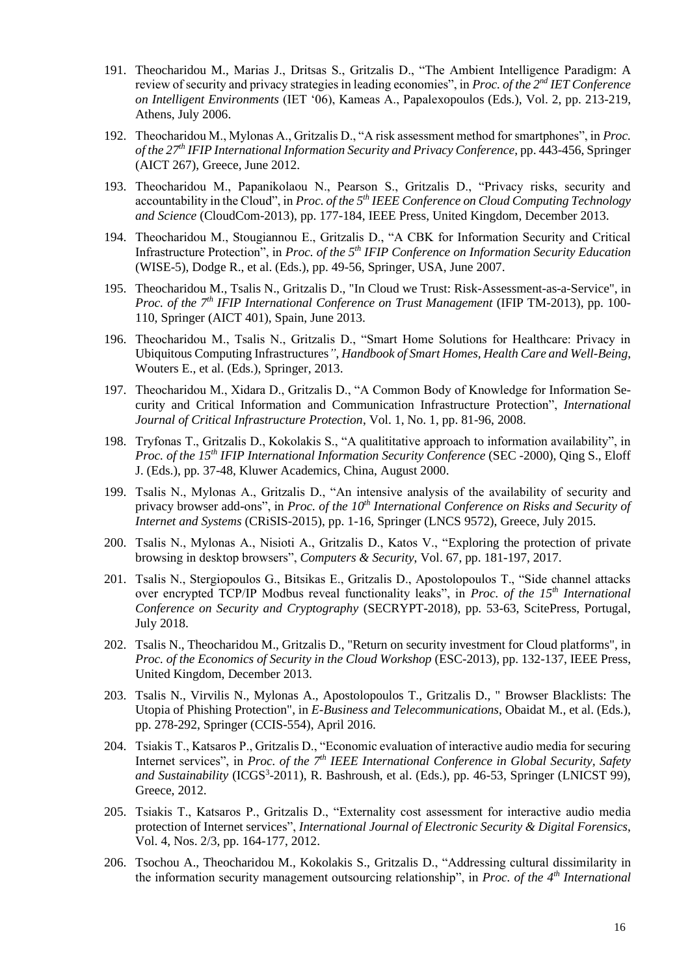- 191. Theocharidou M., Marias J., Dritsas S., Gritzalis D., "The Ambient Intelligence Paradigm: A review of security and privacy strategies in leading economies", in *Proc. of the 2nd IET Conference on Intelligent Environments* (IET '06), Kameas A., Papalexopoulos (Eds.), Vol. 2, pp. 213-219, Athens, July 2006.
- 192. Theocharidou M., Mylonas A., Gritzalis D., "A risk assessment method for smartphones", in *Proc. of the 27th IFIP International Information Security and Privacy Conference*, pp. 443-456, Springer (AICT 267), Greece, June 2012.
- 193. Theocharidou M., Papanikolaou N., Pearson S., Gritzalis D., "Privacy risks, security and accountability in the Cloud", in *Proc. of the 5th IEEE Conference on Cloud Computing Technology and Science* (CloudCom-2013), pp. 177-184, IEEE Press, United Kingdom, December 2013.
- 194. Theocharidou M., Stougiannou E., Gritzalis D., "A CBK for Information Security and Critical Infrastructure Protection", in *Proc. of the 5th IFIP Conference on Information Security Education* (WISE-5), Dodge R., et al. (Eds.), pp. 49-56, Springer, USA, June 2007.
- 195. Theocharidou M., Tsalis N., Gritzalis D., "In Cloud we Trust: Risk-Assessment-as-a-Service", in *Proc. of the 7th IFIP International Conference on Trust Management* (IFIP TM-2013), pp. 100- 110, Springer (AICT 401), Spain, June 2013.
- 196. Theocharidou M., Tsalis N., Gritzalis D., "Smart Home Solutions for Healthcare: Privacy in Ubiquitous Computing Infrastructures*"*, *Handbook of Smart Homes, Health Care and Well-Being*, Wouters E., et al. (Eds.), Springer, 2013.
- 197. Theocharidou M., Xidara D., Gritzalis D., "A Common Body of Knowledge for Information Security and Critical Information and Communication Infrastructure Protection", *International Journal of Critical Infrastructure Protection*, Vol. 1, No. 1, pp. 81-96, 2008.
- 198. Tryfonas T., Gritzalis D., Kokolakis S., "A qualititative approach to information availability", in *Proc. of the 15th IFIP International Information Security Conference* (SEC -2000), Qing S., Eloff J. (Eds.), pp. 37-48, Kluwer Academics, China, August 2000.
- 199. Tsalis N., Mylonas A., Gritzalis D., "An intensive analysis of the availability of security and privacy browser add-ons", in *Proc. of the 10th International Conference on Risks and Security of Internet and Systems* (CRiSIS-2015), pp. 1-16, Springer (LNCS 9572), Greece, July 2015.
- 200. Tsalis N., Mylonas A., Nisioti A., Gritzalis D., Katos V., "Exploring the protection of private browsing in desktop browsers", *Computers & Security*, Vol. 67, pp. 181-197, 2017.
- 201. Tsalis N., Stergiopoulos G., Bitsikas E., Gritzalis D., Apostolopoulos T., "Side channel attacks over encrypted TCP/IP Modbus reveal functionality leaks", in *Proc. of the 15th International Conference on Security and Cryptography* (SECRYPT-2018), pp. 53-63, ScitePress, Portugal, July 2018.
- 202. Tsalis N., Theocharidou M., Gritzalis D., "Return on security investment for Cloud platforms", in *Proc. of the Economics of Security in the Cloud Workshop* (ESC-2013), pp. 132-137, IEEE Press, United Kingdom, December 2013.
- 203. Tsalis N., Virvilis N., Mylonas A., Apostolopoulos T., Gritzalis D., " Browser Blacklists: The Utopia of Phishing Protection", in *E-Business and Telecommunications*, Obaidat M., et al. (Eds.), pp. 278-292, Springer (CCIS-554), April 2016.
- 204. Tsiakis T., Katsaros P., Gritzalis D., "Economic evaluation of interactive audio media for securing Internet services", in *Proc. of the 7<sup>th</sup> IEEE International Conference in Global Security, Safety* and Sustainability (ICGS<sup>3</sup>-2011), R. Bashroush, et al. (Eds.), pp. 46-53, Springer (LNICST 99), Greece, 2012.
- 205. Tsiakis T., Katsaros P., Gritzalis D., "Externality cost assessment for interactive audio media protection of Internet services", *International Journal of Electronic Security & Digital Forensics*, Vol. 4, Nos. 2/3, pp. 164-177, 2012.
- 206. Tsochou A., Theocharidou M., Kokolakis S., Gritzalis D., "Addressing cultural dissimilarity in the information security management outsourcing relationship", in *Proc. of the 4th International*